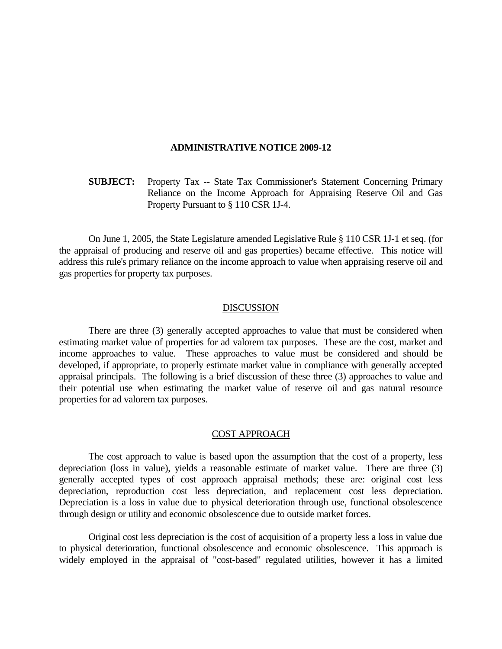#### **ADMINISTRATIVE NOTICE 2009-12**

**SUBJECT:** Property Tax -- State Tax Commissioner's Statement Concerning Primary Reliance on the Income Approach for Appraising Reserve Oil and Gas Property Pursuant to § 110 CSR 1J-4.

 On June 1, 2005, the State Legislature amended Legislative Rule § 110 CSR 1J-1 et seq. (for the appraisal of producing and reserve oil and gas properties) became effective. This notice will address this rule's primary reliance on the income approach to value when appraising reserve oil and gas properties for property tax purposes.

# DISCUSSION

 There are three (3) generally accepted approaches to value that must be considered when estimating market value of properties for ad valorem tax purposes. These are the cost, market and income approaches to value. These approaches to value must be considered and should be developed, if appropriate, to properly estimate market value in compliance with generally accepted appraisal principals. The following is a brief discussion of these three (3) approaches to value and their potential use when estimating the market value of reserve oil and gas natural resource properties for ad valorem tax purposes.

## COST APPROACH

 The cost approach to value is based upon the assumption that the cost of a property, less depreciation (loss in value), yields a reasonable estimate of market value. There are three (3) generally accepted types of cost approach appraisal methods; these are: original cost less depreciation, reproduction cost less depreciation, and replacement cost less depreciation. Depreciation is a loss in value due to physical deterioration through use, functional obsolescence through design or utility and economic obsolescence due to outside market forces.

 Original cost less depreciation is the cost of acquisition of a property less a loss in value due to physical deterioration, functional obsolescence and economic obsolescence. This approach is widely employed in the appraisal of "cost-based" regulated utilities, however it has a limited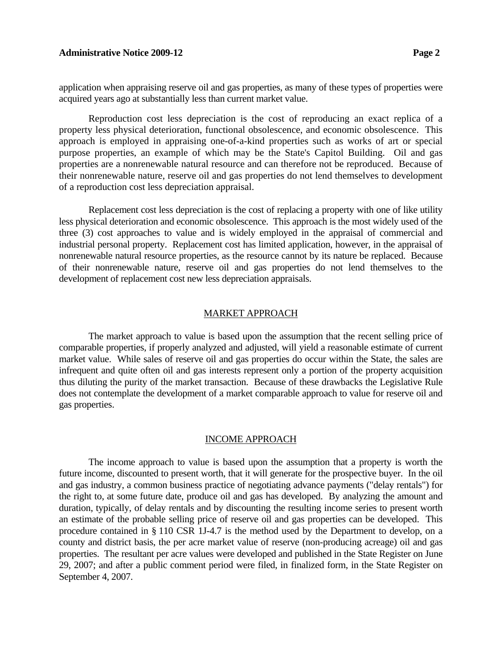### **Administrative Notice 2009-12** Page 2

application when appraising reserve oil and gas properties, as many of these types of properties were acquired years ago at substantially less than current market value.

Reproduction cost less depreciation is the cost of reproducing an exact replica of a property less physical deterioration, functional obsolescence, and economic obsolescence. This approach is employed in appraising one-of-a-kind properties such as works of art or special purpose properties, an example of which may be the State's Capitol Building. Oil and gas properties are a nonrenewable natural resource and can therefore not be reproduced. Because of their nonrenewable nature, reserve oil and gas properties do not lend themselves to development of a reproduction cost less depreciation appraisal.

 Replacement cost less depreciation is the cost of replacing a property with one of like utility less physical deterioration and economic obsolescence. This approach is the most widely used of the three (3) cost approaches to value and is widely employed in the appraisal of commercial and industrial personal property. Replacement cost has limited application, however, in the appraisal of nonrenewable natural resource properties, as the resource cannot by its nature be replaced. Because of their nonrenewable nature, reserve oil and gas properties do not lend themselves to the development of replacement cost new less depreciation appraisals.

#### MARKET APPROACH

 The market approach to value is based upon the assumption that the recent selling price of comparable properties, if properly analyzed and adjusted, will yield a reasonable estimate of current market value. While sales of reserve oil and gas properties do occur within the State, the sales are infrequent and quite often oil and gas interests represent only a portion of the property acquisition thus diluting the purity of the market transaction. Because of these drawbacks the Legislative Rule does not contemplate the development of a market comparable approach to value for reserve oil and gas properties.

# INCOME APPROACH

 The income approach to value is based upon the assumption that a property is worth the future income, discounted to present worth, that it will generate for the prospective buyer. In the oil and gas industry, a common business practice of negotiating advance payments ("delay rentals") for the right to, at some future date, produce oil and gas has developed. By analyzing the amount and duration, typically, of delay rentals and by discounting the resulting income series to present worth an estimate of the probable selling price of reserve oil and gas properties can be developed. This procedure contained in § 110 CSR 1J-4.7 is the method used by the Department to develop, on a county and district basis, the per acre market value of reserve (non-producing acreage) oil and gas properties. The resultant per acre values were developed and published in the State Register on June 29, 2007; and after a public comment period were filed, in finalized form, in the State Register on September 4, 2007.